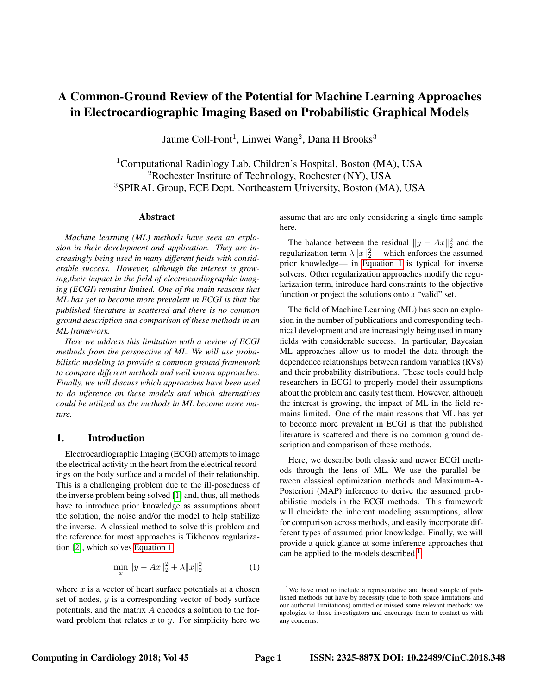# A Common-Ground Review of the Potential for Machine Learning Approaches in Electrocardiographic Imaging Based on Probabilistic Graphical Models

Jaume Coll-Font<sup>1</sup>, Linwei Wang<sup>2</sup>, Dana H Brooks<sup>3</sup>

<sup>1</sup>Computational Radiology Lab, Children's Hospital, Boston (MA), USA  ${}^{2}$ Rochester Institute of Technology, Rochester (NY), USA <sup>3</sup>SPIRAL Group, ECE Dept. Northeastern University, Boston (MA), USA

## Abstract

*Machine learning (ML) methods have seen an explosion in their development and application. They are increasingly being used in many different fields with considerable success. However, although the interest is growing,their impact in the field of electrocardiographic imaging (ECGI) remains limited. One of the main reasons that ML has yet to become more prevalent in ECGI is that the published literature is scattered and there is no common ground description and comparison of these methods in an ML framework.*

*Here we address this limitation with a review of ECGI methods from the perspective of ML. We will use probabilistic modeling to provide a common ground framework to compare different methods and well known approaches. Finally, we will discuss which approaches have been used to do inference on these models and which alternatives could be utilized as the methods in ML become more mature.*

## 1. Introduction

Electrocardiographic Imaging (ECGI) attempts to image the electrical activity in the heart from the electrical recordings on the body surface and a model of their relationship. This is a challenging problem due to the ill-posedness of the inverse problem being solved [\[1\]](#page-2-0) and, thus, all methods have to introduce prior knowledge as assumptions about the solution, the noise and/or the model to help stabilize the inverse. A classical method to solve this problem and the reference for most approaches is Tikhonov regularization [\[2\]](#page-2-1), which solves [Equation 1:](#page-0-0)

<span id="page-0-0"></span>
$$
\min_{x} \|y - Ax\|_2^2 + \lambda \|x\|_2^2 \tag{1}
$$

where  $x$  is a vector of heart surface potentials at a chosen set of nodes,  $y$  is a corresponding vector of body surface potentials, and the matrix A encodes a solution to the forward problem that relates  $x$  to  $y$ . For simplicity here we assume that are are only considering a single time sample here.

The balance between the residual  $||y - Ax||_2^2$  and the regularization term  $\lambda ||x||_2^2$  —which enforces the assumed prior knowledge— in [Equation 1](#page-0-0) is typical for inverse solvers. Other regularization approaches modify the regularization term, introduce hard constraints to the objective function or project the solutions onto a "valid" set.

The field of Machine Learning (ML) has seen an explosion in the number of publications and corresponding technical development and are increasingly being used in many fields with considerable success. In particular, Bayesian ML approaches allow us to model the data through the dependence relationships between random variables (RVs) and their probability distributions. These tools could help researchers in ECGI to properly model their assumptions about the problem and easily test them. However, although the interest is growing, the impact of ML in the field remains limited. One of the main reasons that ML has yet to become more prevalent in ECGI is that the published literature is scattered and there is no common ground description and comparison of these methods.

Here, we describe both classic and newer ECGI methods through the lens of ML. We use the parallel between classical optimization methods and Maximum-A-Posteriori (MAP) inference to derive the assumed probabilistic models in the ECGI methods. This framework will elucidate the inherent modeling assumptions, allow for comparison across methods, and easily incorporate different types of assumed prior knowledge. Finally, we will provide a quick glance at some inference approaches that can be applied to the models described.<sup>[1](#page-0-1)</sup>

<span id="page-0-1"></span><sup>&</sup>lt;sup>1</sup>We have tried to include a representative and broad sample of published methods but have by necessity (due to both space limitations and our authorial limitations) omitted or missed some relevant methods; we apologize to those investigators and encourage them to contact us with any concerns.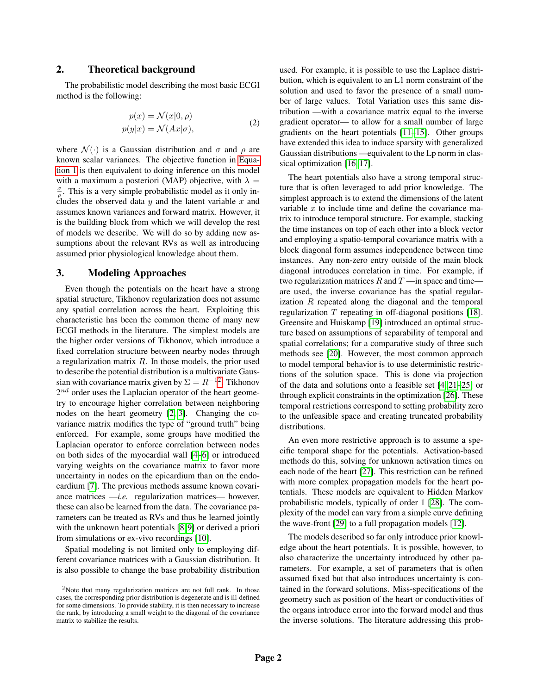## 2. Theoretical background

The probabilistic model describing the most basic ECGI method is the following:

$$
p(x) = \mathcal{N}(x|0, \rho)
$$
  
\n
$$
p(y|x) = \mathcal{N}(Ax|\sigma),
$$
\n(2)

where  $\mathcal{N}(\cdot)$  is a Gaussian distribution and  $\sigma$  and  $\rho$  are known scalar variances. The objective function in [Equa](#page-0-0)[tion 1](#page-0-0) is then equivalent to doing inference on this model with a maximum a posteriori (MAP) objective, with  $\lambda =$  $\frac{\sigma}{\rho}$ . This is a very simple probabilistic model as it only includes the observed data  $y$  and the latent variable  $x$  and assumes known variances and forward matrix. However, it is the building block from which we will develop the rest of models we describe. We will do so by adding new assumptions about the relevant RVs as well as introducing assumed prior physiological knowledge about them.

#### 3. Modeling Approaches

Even though the potentials on the heart have a strong spatial structure, Tikhonov regularization does not assume any spatial correlation across the heart. Exploiting this characteristic has been the common theme of many new ECGI methods in the literature. The simplest models are the higher order versions of Tikhonov, which introduce a fixed correlation structure between nearby nodes through a regularization matrix  $R$ . In those models, the prior used to describe the potential distribution is a multivariate Gaussian with covariance matrix given by  $\Sigma = R^{-12}$  $\Sigma = R^{-12}$  $\Sigma = R^{-12}$ . Tikhonov  $2^{nd}$  order uses the Laplacian operator of the heart geometry to encourage higher correlation between neighboring nodes on the heart geometry [\[2,](#page-2-1) [3\]](#page-2-2). Changing the covariance matrix modifies the type of "ground truth" being enforced. For example, some groups have modified the Laplacian operator to enforce correlation between nodes on both sides of the myocardial wall [\[4](#page-2-3)[–6\]](#page-2-4) or introduced varying weights on the covariance matrix to favor more uncertainty in nodes on the epicardium than on the endocardium [\[7\]](#page-2-5). The previous methods assume known covariance matrices —*i.e.* regularization matrices— however, these can also be learned from the data. The covariance parameters can be treated as RVs and thus be learned jointly with the unknown heart potentials [\[8,](#page-2-6)9] or derived a priori from simulations or ex-vivo recordings [\[10\]](#page-2-8).

Spatial modeling is not limited only to employing different covariance matrices with a Gaussian distribution. It is also possible to change the base probability distribution used. For example, it is possible to use the Laplace distribution, which is equivalent to an L1 norm constraint of the solution and used to favor the presence of a small number of large values. Total Variation uses this same distribution —with a covariance matrix equal to the inverse gradient operator— to allow for a small number of large gradients on the heart potentials [\[11](#page-2-9)[–15\]](#page-2-10). Other groups have extended this idea to induce sparsity with generalized Gaussian distributions —equivalent to the Lp norm in classical optimization [\[16,](#page-3-0) [17\]](#page-3-1).

The heart potentials also have a strong temporal structure that is often leveraged to add prior knowledge. The simplest approach is to extend the dimensions of the latent variable  $x$  to include time and define the covariance matrix to introduce temporal structure. For example, stacking the time instances on top of each other into a block vector and employing a spatio-temporal covariance matrix with a block diagonal form assumes independence between time instances. Any non-zero entry outside of the main block diagonal introduces correlation in time. For example, if two regularization matrices  $R$  and  $T$  —in space and time are used, the inverse covariance has the spatial regularization R repeated along the diagonal and the temporal regularization  $T$  repeating in off-diagonal positions [\[18\]](#page-3-2). Greensite and Huiskamp [\[19\]](#page-3-3) introduced an optimal structure based on assumptions of separability of temporal and spatial correlations; for a comparative study of three such methods see [\[20\]](#page-3-4). However, the most common approach to model temporal behavior is to use deterministic restrictions of the solution space. This is done via projection of the data and solutions onto a feasible set [\[4,](#page-2-3) [21](#page-3-5)[–25\]](#page-3-6) or through explicit constraints in the optimization [\[26\]](#page-3-7). These temporal restrictions correspond to setting probability zero to the unfeasible space and creating truncated probability distributions.

An even more restrictive approach is to assume a specific temporal shape for the potentials. Activation-based methods do this, solving for unknown activation times on each node of the heart [\[27\]](#page-3-8). This restriction can be refined with more complex propagation models for the heart potentials. These models are equivalent to Hidden Markov probabilistic models, typically of order 1 [\[28\]](#page-3-9). The complexity of the model can vary from a simple curve defining the wave-front [\[29\]](#page-3-10) to a full propagation models [\[12\]](#page-2-11).

The models described so far only introduce prior knowledge about the heart potentials. It is possible, however, to also characterize the uncertainty introduced by other parameters. For example, a set of parameters that is often assumed fixed but that also introduces uncertainty is contained in the forward solutions. Miss-specifications of the geometry such as position of the heart or conductivities of the organs introduce error into the forward model and thus the inverse solutions. The literature addressing this prob-

<span id="page-1-0"></span><sup>2</sup>Note that many regularization matrices are not full rank. In those cases, the corresponding prior distribution is degenerate and is ill-defined for some dimensions. To provide stability, it is then necessary to increase the rank, by introducing a small weight to the diagonal of the covariance matrix to stabilize the results.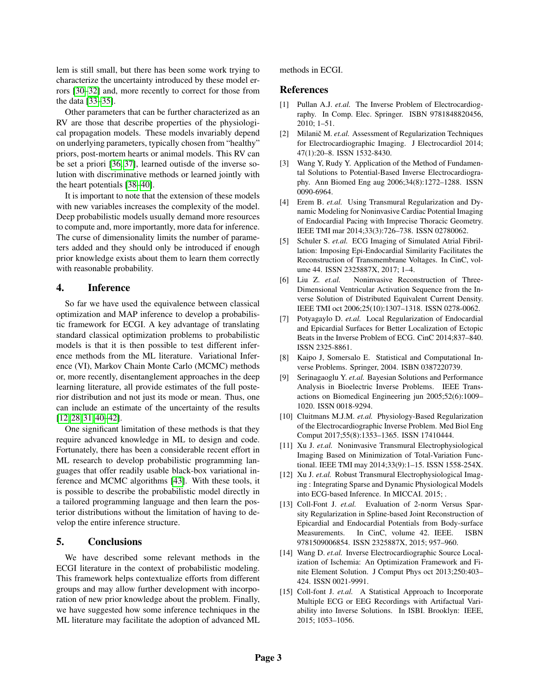lem is still small, but there has been some work trying to characterize the uncertainty introduced by these model errors [\[30](#page-3-11)[–32\]](#page-3-12) and, more recently to correct for those from the data [\[33](#page-3-13)[–35\]](#page-3-14).

Other parameters that can be further characterized as an RV are those that describe properties of the physiological propagation models. These models invariably depend on underlying parameters, typically chosen from "healthy" priors, post-mortem hearts or animal models. This RV can be set a priori [\[36,](#page-3-15) [37\]](#page-3-16), learned outisde of the inverse solution with discriminative methods or learned jointly with the heart potentials [\[38–](#page-3-17)[40\]](#page-3-18).

It is important to note that the extension of these models with new variables increases the complexity of the model. Deep probabilistic models usually demand more resources to compute and, more importantly, more data for inference. The curse of dimensionality limits the number of parameters added and they should only be introduced if enough prior knowledge exists about them to learn them correctly with reasonable probability.

## 4. Inference

So far we have used the equivalence between classical optimization and MAP inference to develop a probabilistic framework for ECGI. A key advantage of translating standard classical optimization problems to probabilistic models is that it is then possible to test different inference methods from the ML literature. Variational Inference (VI), Markov Chain Monte Carlo (MCMC) methods or, more recently, disentanglement approaches in the deep learning literature, all provide estimates of the full posterior distribution and not just its mode or mean. Thus, one can include an estimate of the uncertainty of the results [\[12,](#page-2-11) [28,](#page-3-9) [31,](#page-3-19) [40–](#page-3-18)[42\]](#page-3-20).

One significant limitation of these methods is that they require advanced knowledge in ML to design and code. Fortunately, there has been a considerable recent effort in ML research to develop probabilistic programming languages that offer readily usable black-box variational inference and MCMC algorithms [\[43\]](#page-3-21). With these tools, it is possible to describe the probabilistic model directly in a tailored programming language and then learn the posterior distributions without the limitation of having to develop the entire inference structure.

## 5. Conclusions

We have described some relevant methods in the ECGI literature in the context of probabilistic modeling. This framework helps contextualize efforts from different groups and may allow further development with incorporation of new prior knowledge about the problem. Finally, we have suggested how some inference techniques in the ML literature may facilitate the adoption of advanced ML

#### methods in ECGI.

#### References

- <span id="page-2-0"></span>[1] Pullan A.J. *et.al.* The Inverse Problem of Electrocardiography. In Comp. Elec. Springer. ISBN 9781848820456, 2010; 1–51.
- <span id="page-2-1"></span>[2] Milanič M. et.al. Assessment of Regularization Techniques for Electrocardiographic Imaging. J Electrocardiol 2014; 47(1):20–8. ISSN 1532-8430.
- <span id="page-2-2"></span>[3] Wang Y, Rudy Y. Application of the Method of Fundamental Solutions to Potential-Based Inverse Electrocardiography. Ann Biomed Eng aug 2006;34(8):1272–1288. ISSN 0090-6964.
- <span id="page-2-3"></span>[4] Erem B. *et.al.* Using Transmural Regularization and Dynamic Modeling for Noninvasive Cardiac Potential Imaging of Endocardial Pacing with Imprecise Thoracic Geometry. IEEE TMI mar 2014;33(3):726–738. ISSN 02780062.
- [5] Schuler S. *et.al.* ECG Imaging of Simulated Atrial Fibrillation: Imposing Epi-Endocardial Similarity Facilitates the Reconstruction of Transmembrane Voltages. In CinC, volume 44. ISSN 2325887X, 2017; 1–4.
- <span id="page-2-4"></span>[6] Liu Z. *et.al.* Noninvasive Reconstruction of Three-Dimensional Ventricular Activation Sequence from the Inverse Solution of Distributed Equivalent Current Density. IEEE TMI oct 2006;25(10):1307–1318. ISSN 0278-0062.
- <span id="page-2-5"></span>[7] Potyagaylo D. *et.al.* Local Regularization of Endocardial and Epicardial Surfaces for Better Localization of Ectopic Beats in the Inverse Problem of ECG. CinC 2014;837–840. ISSN 2325-8861.
- <span id="page-2-6"></span>[8] Kaipo J, Somersalo E. Statistical and Computational Inverse Problems. Springer, 2004. ISBN 0387220739.
- <span id="page-2-7"></span>[9] Serinagaoglu Y. *et.al.* Bayesian Solutions and Performance Analysis in Bioelectric Inverse Problems. IEEE Transactions on Biomedical Engineering jun 2005;52(6):1009– 1020. ISSN 0018-9294.
- <span id="page-2-8"></span>[10] Cluitmans M.J.M. *et.al.* Physiology-Based Regularization of the Electrocardiographic Inverse Problem. Med Biol Eng Comput 2017;55(8):1353–1365. ISSN 17410444.
- <span id="page-2-9"></span>[11] Xu J. *et.al.* Noninvasive Transmural Electrophysiological Imaging Based on Minimization of Total-Variation Functional. IEEE TMI may 2014;33(9):1–15. ISSN 1558-254X.
- <span id="page-2-11"></span>[12] Xu J. *et.al.* Robust Transmural Electrophysiological Imaging : Integrating Sparse and Dynamic Physiological Models into ECG-based Inference. In MICCAI. 2015; .
- [13] Coll-Font J. *et.al.* Evaluation of 2-norm Versus Sparsity Regularization in Spline-based Joint Reconstruction of Epicardial and Endocardial Potentials from Body-surface Measurements. In CinC, volume 42. IEEE. ISBN 9781509006854. ISSN 2325887X, 2015; 957–960.
- [14] Wang D. *et.al.* Inverse Electrocardiographic Source Localization of Ischemia: An Optimization Framework and Finite Element Solution. J Comput Phys oct 2013;250:403– 424. ISSN 0021-9991.
- <span id="page-2-10"></span>[15] Coll-font J. *et.al.* A Statistical Approach to Incorporate Multiple ECG or EEG Recordings with Artifactual Variability into Inverse Solutions. In ISBI. Brooklyn: IEEE, 2015; 1053–1056.